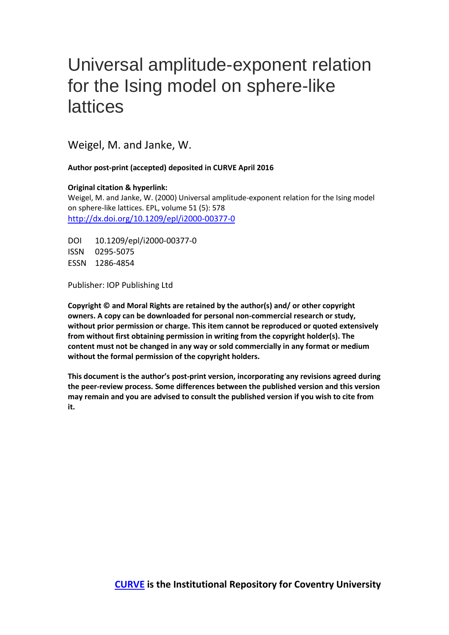## Universal amplitude-exponent relation for the Ising model on sphere-like lattices

Weigel, M. and Janke, W.

**Author post-print (accepted) deposited in CURVE April 2016**

**Original citation & hyperlink:**

Weigel, M. and Janke, W. (2000) Universal amplitude-exponent relation for the Ising model on sphere-like lattices. EPL, volume 51 (5): 578 <http://dx.doi.org/10.1209/epl/i2000-00377-0>

DOI 10.1209/epl/i2000-00377-0 ISSN 0295-5075 ESSN 1286-4854

Publisher: IOP Publishing Ltd

**Copyright © and Moral Rights are retained by the author(s) and/ or other copyright owners. A copy can be downloaded for personal non-commercial research or study, without prior permission or charge. This item cannot be reproduced or quoted extensively from without first obtaining permission in writing from the copyright holder(s). The content must not be changed in any way or sold commercially in any format or medium without the formal permission of the copyright holders.** 

**This document is the author's post-print version, incorporating any revisions agreed during the peer-review process. Some differences between the published version and this version may remain and you are advised to consult the published version if you wish to cite from it.**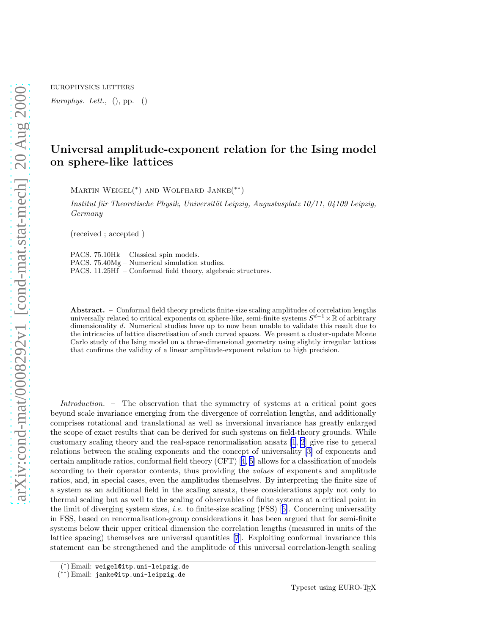EUROPHYSICS LETTERS

Europhys. Lett.,  $()$ , pp.  $()$ 

## Universal amplitude-exponent relation for the Ising model on sphere-like lattices

MARTIN WEIGEL<sup>(\*)</sup> AND WOLFHARD JANKE<sup>(\*\*)</sup>

Institut für Theoretische Physik, Universität Leipzig, Augustusplatz  $10/11$ , 04109 Leipzig, Germany

(received ; accepted )

PACS. 75.10Hk – Classical spin models. PACS. 75.40Mg – Numerical simulation studies. PACS. 11.25Hf – Conformal field theory, algebraic structures.

Abstract. – Conformal field theory predicts finite-size scaling amplitudes of correlation lengths universally related to critical exponents on sphere-like, semi-finite systems  $S^{d-1}\times\mathbb{R}$  of arbitrary dimensionality d. Numerical studies have up to now been unable to validate this result due to the intricacies of lattice discretisation of such curved spaces. We present a cluster-update Monte Carlo study of the Ising model on a three-dimensional geometry using slightly irregular lattices that confirms the validity of a linear amplitude-exponent relation to high precision.

Introduction. – The observation that the symmetry of systems at a critical point goes beyond scale invariance emerging from the divergence of correlation lengths, and additionally comprises rotational and translational as well as inversional invariance has greatly enlarged the scope of exact results that can be derived for such systems on field-theory grounds. While customary scaling theory and the real-space renormalisation ansatz [\[1](#page-6-0), [2](#page-6-0)] give rise to general relations between the scaling exponents and the concept of universality[[3\]](#page-6-0) of exponents and certainamplitude ratios, conformal field theory  $(CFT)$  [[4, 5\]](#page-6-0) allows for a classification of models according to their operator contents, thus providing the values of exponents and amplitude ratios, and, in special cases, even the amplitudes themselves. By interpreting the finite size of a system as an additional field in the scaling ansatz, these considerations apply not only to thermal scaling but as well to the scaling of observables of finite systems at a critical point in thelimit of diverging system sizes, *i.e.* to finite-size scaling  $(FSS)$  [[6\]](#page-6-0). Concerning universality in FSS, based on renormalisation-group considerations it has been argued that for semi-finite systems below their upper critical dimension the correlation lengths (measured in units of the lattice spacing) themselves are universal quantities [\[7](#page-6-0)]. Exploiting conformal invariance this statement can be strengthened and the amplitude of this universal correlation-length scaling

<sup>(</sup> ∗ ) Email: weigel@itp.uni-leipzig.de

<sup>(</sup> ∗∗) Email: janke@itp.uni-leipzig.de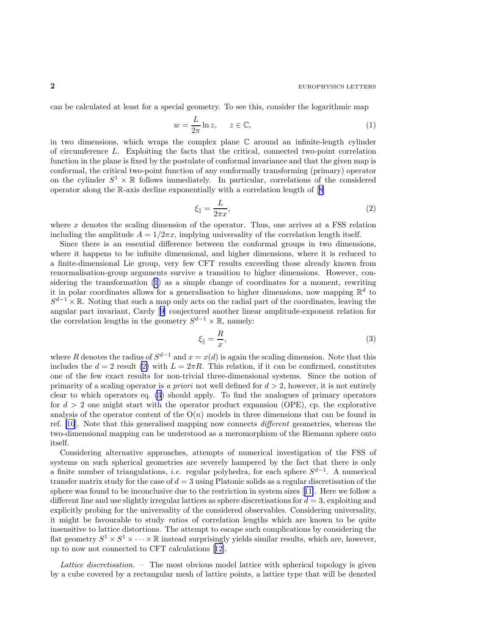<span id="page-2-0"></span>can be calculated at least for a special geometry. To see this, consider the logarithmic map

$$
w = \frac{L}{2\pi} \ln z, \quad z \in \mathbb{C}, \tag{1}
$$

in two dimensions, which wraps the complex plane  $\mathbb C$  around an infinite-length cylinder of circumference L. Exploiting the facts that the critical, connected two-point correlation function in the plane is fixed by the postulate of conformal invariance and that the given map is conformal, the critical two-point function of any conformally transforming (primary) operator on the cylinder  $S^1 \times \mathbb{R}$  follows immediately. In particular, correlations of the considered operator along the R-axis decline exponentially with a correlation length of[[8\]](#page-6-0)

$$
\xi_{\parallel} = \frac{L}{2\pi x},\tag{2}
$$

where  $x$  denotes the scaling dimension of the operator. Thus, one arrives at a FSS relation including the amplitude  $A = 1/2\pi x$ , implying universality of the correlation length itself.

Since there is an essential difference between the conformal groups in two dimensions, where it happens to be infinite dimensional, and higher dimensions, where it is reduced to a finite-dimensional Lie group, very few CFT results exceeding those already known from renormalisation-group arguments survive a transition to higher dimensions. However, considering the transformation (1) as a simple change of coordinates for a moment, rewriting it in polar coordinates allows for a generalisation to higher dimensions, now mapping  $\mathbb{R}^d$  to  $S^{d-1}\times\mathbb{R}$ . Noting that such a map only acts on the radial part of the coordinates, leaving the angular part invariant, Cardy[[9\]](#page-6-0) conjectured another linear amplitude-exponent relation for the correlation lengths in the geometry  $S^{d-1} \times \mathbb{R}$ , namely:

$$
\xi_{\parallel} = \frac{R}{x},\tag{3}
$$

where R denotes the radius of  $S^{d-1}$  and  $x = x(d)$  is again the scaling dimension. Note that this includes the  $d = 2$  result (2) with  $L = 2\pi R$ . This relation, if it can be confirmed, constitutes one of the few exact results for non-trivial three-dimensional systems. Since the notion of primarity of a scaling operator is a priori not well defined for  $d > 2$ , however, it is not entirely clear to which operators eq. (3) should apply. To find the analogues of primary operators for  $d > 2$  one might start with the operator product expansion (OPE), cp. the explorative analysis of the operator content of the  $O(n)$  models in three dimensions that can be found in ref. [\[10](#page-6-0)]. Note that this generalised mapping now connects different geometries, whereas the two-dimensional mapping can be understood as a meromorphism of the Riemann sphere onto itself.

Considering alternative approaches, attempts of numerical investigation of the FSS of systems on such spherical geometries are severely hampered by the fact that there is only a finite number of triangulations, *i.e.* regular polyhedra, for each sphere  $S^{d-1}$ . A numerical transfer matrix study for the case of  $d = 3$  using Platonic solids as a regular discretisation of the sphere was found to be inconclusive due to the restriction in system sizes[[11\]](#page-6-0). Here we follow a different line and use slightly irregular lattices as sphere discretisations for  $d = 3$ , exploiting and explicitly probing for the universality of the considered observables. Considering universality, it might be favourable to study ratios of correlation lengths which are known to be quite insensitive to lattice distortions. The attempt to escape such complications by considering the flat geometry  $S^1 \times S^1 \times \cdots \times \mathbb{R}$  instead surprisingly yields similar results, which are, however, up to now not connected to CFT calculations[[12\]](#page-6-0).

Lattice discretisation. – The most obvious model lattice with spherical topology is given by a cube covered by a rectangular mesh of lattice points, a lattice type that will be denoted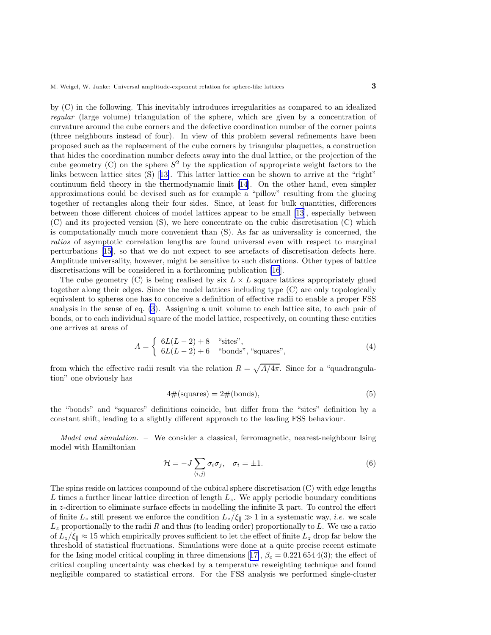by (C) in the following. This inevitably introduces irregularities as compared to an idealized regular (large volume) triangulation of the sphere, which are given by a concentration of curvature around the cube corners and the defective coordination number of the corner points (three neighbours instead of four). In view of this problem several refinements have been proposed such as the replacement of the cube corners by triangular plaquettes, a construction that hides the coordination number defects away into the dual lattice, or the projection of the cube geometry  $(C)$  on the sphere  $S^2$  by the application of appropriate weight factors to the links between lattice sites (S)[[13\]](#page-6-0). This latter lattice can be shown to arrive at the "right" continuum field theory in the thermodynamic limit[[14\]](#page-6-0). On the other hand, even simpler approximations could be devised such as for example a "pillow" resulting from the glueing together of rectangles along their four sides. Since, at least for bulk quantities, differences between those different choices of model lattices appear to be small [\[13](#page-6-0)], especially between (C) and its projected version (S), we here concentrate on the cubic discretisation (C) which is computationally much more convenient than (S). As far as universality is concerned, the ratios of asymptotic correlation lengths are found universal even with respect to marginal perturbations [\[15\]](#page-6-0), so that we do not expect to see artefacts of discretisation defects here. Amplitude universality, however, might be sensitive to such distortions. Other types of lattice discretisations will be considered in a forthcoming publication [\[16](#page-6-0)].

The cube geometry (C) is being realised by six  $L \times L$  square lattices appropriately glued together along their edges. Since the model lattices including type (C) are only topologically equivalent to spheres one has to conceive a definition of effective radii to enable a proper FSS analysis in the sense of eq. [\(3](#page-2-0)). Assigning a unit volume to each lattice site, to each pair of bonds, or to each individual square of the model lattice, respectively, on counting these entities one arrives at areas of

$$
A = \begin{cases} 6L(L-2) + 8 & \text{``sites''}, \\ 6L(L-2) + 6 & \text{``bonds''}, \text{``squares''}, \end{cases}
$$
 (4)

from which the effective radii result via the relation  $R = \sqrt{A/4\pi}$ . Since for a "quadrangulation" one obviously has

$$
4#(\text{squares}) = 2#(\text{bonds}),\tag{5}
$$

the "bonds" and "squares" definitions coincide, but differ from the "sites" definition by a constant shift, leading to a slightly different approach to the leading FSS behaviour.

Model and simulation. – We consider a classical, ferromagnetic, nearest-neighbour Ising model with Hamiltonian

$$
\mathcal{H} = -J \sum_{\langle i,j \rangle} \sigma_i \sigma_j, \quad \sigma_i = \pm 1. \tag{6}
$$

The spins reside on lattices compound of the cubical sphere discretisation (C) with edge lengths L times a further linear lattice direction of length  $L_z$ . We apply periodic boundary conditions in z-direction to eliminate surface effects in modelling the infinite  $\mathbb R$  part. To control the effect of finite  $L_z$  still present we enforce the condition  $L_z/\xi_{\parallel} \gg 1$  in a systematic way, *i.e.* we scale  $L_z$  proportionally to the radii R and thus (to leading order) proportionally to L. We use a ratio of  $L_z/\xi_{\parallel} \approx 15$  which empirically proves sufficient to let the effect of finite  $L_z$  drop far below the threshold of statistical fluctuations. Simulations were done at a quite precise recent estimate forthe Ising model critical coupling in three dimensions [[17\]](#page-6-0),  $\beta_c = 0.2216544(3)$ ; the effect of critical coupling uncertainty was checked by a temperature reweighting technique and found negligible compared to statistical errors. For the FSS analysis we performed single-cluster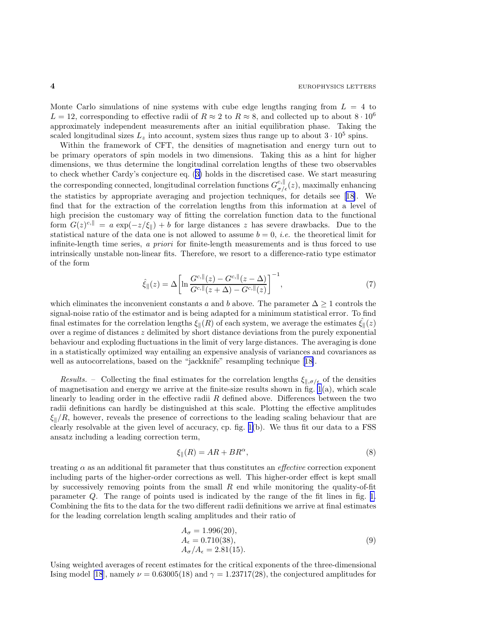Monte Carlo simulations of nine systems with cube edge lengths ranging from  $L = 4$  to  $L = 12$ , corresponding to effective radii of  $R \approx 2$  to  $R \approx 8$ , and collected up to about  $8 \cdot 10^6$ approximately independent measurements after an initial equilibration phase. Taking the scaled longitudinal sizes  $L_z$  into account, system sizes thus range up to about  $3 \cdot 10^5$  spins.

Within the framework of CFT, the densities of magnetisation and energy turn out to be primary operators of spin models in two dimensions. Taking this as a hint for higher dimensions, we thus determine the longitudinal correlation lengths of these two observables to check whether Cardy's conjecture eq. ([3\)](#page-2-0) holds in the discretised case. We start measuring the corresponding connected, longitudinal correlation functions  $G_{\sigma/\epsilon}^{c,||}(z)$ , maximally enhancing the statistics by appropriate averaging and projection techniques, for details see[[18\]](#page-6-0). We find that for the extraction of the correlation lengths from this information at a level of high precision the customary way of fitting the correlation function data to the functional form  $G(z)^{c, \parallel} = a \exp(-z/\xi_{\parallel}) + b$  for large distances z has severe drawbacks. Due to the statistical nature of the data one is not allowed to assume  $b = 0$ , *i.e.* the theoretical limit for infinite-length time series, a priori for finite-length measurements and is thus forced to use intrinsically unstable non-linear fits. Therefore, we resort to a difference-ratio type estimator of the form

$$
\hat{\xi}_{\parallel}(z) = \Delta \left[ \ln \frac{G^{c, \parallel}(z) - G^{c, \parallel}(z - \Delta)}{G^{c, \parallel}(z + \Delta) - G^{c, \parallel}(z)} \right]^{-1},\tag{7}
$$

which eliminates the inconvenient constants a and b above. The parameter  $\Delta \geq 1$  controls the signal-noise ratio of the estimator and is being adapted for a minimum statistical error. To find final estimates for the correlation lengths  $\xi_{\parallel}(R)$  of each system, we average the estimates  $\xi_{\parallel}(z)$ over a regime of distances  $z$  delimited by short distance deviations from the purely exponential behaviour and exploding fluctuations in the limit of very large distances. The averaging is done in a statistically optimized way entailing an expensive analysis of variances and covariances as wellas autocorrelations, based on the "jackknife" resampling technique [[18\]](#page-6-0).

Results. – Collecting the final estimates for the correlation lengths  $\xi_{\parallel,\sigma/\epsilon}$  of the densities of magnetisation and energy we arrive at the finite-size results shown in fig.  $1(a)$ , which scale linearly to leading order in the effective radii  $R$  defined above. Differences between the two radii definitions can hardly be distinguished at this scale. Plotting the effective amplitudes  $\xi_k/R$ , however, reveals the presence of corrections to the leading scaling behaviour that are clearly resolvable at the given level of accuracy, cp. fig. [1\(](#page-5-0)b). We thus fit our data to a FSS ansatz including a leading correction term,

$$
\xi_{\parallel}(R) = AR + BR^{\alpha},\tag{8}
$$

treating  $\alpha$  as an additional fit parameter that thus constitutes an *effective* correction exponent including parts of the higher-order corrections as well. This higher-order effect is kept small by successively removing points from the small  $R$  end while monitoring the quality-of-fit parameter Q. The range of points used is indicated by the range of the fit lines in fig. [1.](#page-5-0) Combining the fits to the data for the two different radii definitions we arrive at final estimates for the leading correlation length scaling amplitudes and their ratio of

$$
A_{\sigma} = 1.996(20), A_{\epsilon} = 0.710(38), A_{\sigma}/A_{\epsilon} = 2.81(15).
$$
 (9)

Using weighted averages of recent estimates for the critical exponents of the three-dimensional Ising model [\[18](#page-6-0)], namely  $\nu = 0.63005(18)$  and  $\gamma = 1.23717(28)$ , the conjectured amplitudes for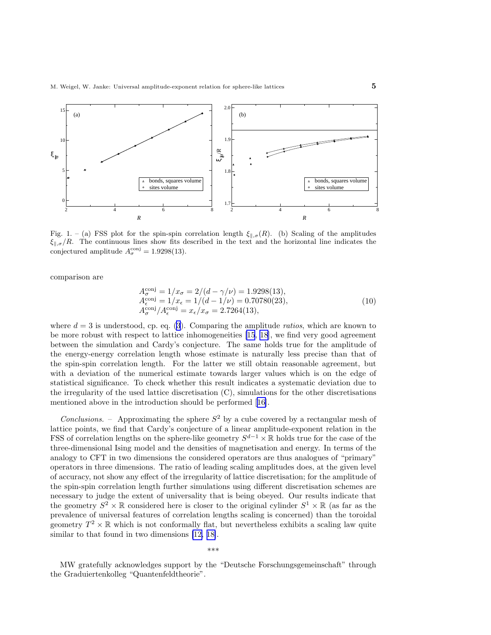<span id="page-5-0"></span>

Fig. 1. – (a) FSS plot for the spin-spin correlation length  $\xi_{\parallel,\sigma}(R)$ . (b) Scaling of the amplitudes  $\xi_{\parallel,\sigma}/R$ . The continuous lines show fits described in the text and the horizontal line indicates the conjectured amplitude  $A_{\sigma}^{\text{conj}} = 1.9298(13)$ .

comparison are

$$
A_{\sigma}^{\text{conj}} = 1/x_{\sigma} = 2/(d - \gamma/\nu) = 1.9298(13),
$$
  
\n
$$
A_{\epsilon}^{\text{conj}} = 1/x_{\epsilon} = 1/(d - 1/\nu) = 0.70780(23),
$$
  
\n
$$
A_{\sigma}^{\text{conj}}/A_{\epsilon}^{\text{conj}} = x_{\epsilon}/x_{\sigma} = 2.7264(13),
$$
\n(10)

where  $d = 3$  is understood, cp. eq. [\(3](#page-2-0)). Comparing the amplitude ratios, which are known to be more robust with respect to lattice inhomogeneities [\[15](#page-6-0), [18](#page-6-0)], we find very good agreement between the simulation and Cardy's conjecture. The same holds true for the amplitude of the energy-energy correlation length whose estimate is naturally less precise than that of the spin-spin correlation length. For the latter we still obtain reasonable agreement, but with a deviation of the numerical estimate towards larger values which is on the edge of statistical significance. To check whether this result indicates a systematic deviation due to the irregularity of the used lattice discretisation (C), simulations for the other discretisations mentioned above in the introduction should be performed[[16\]](#page-6-0).

Conclusions. – Approximating the sphere  $S^2$  by a cube covered by a rectangular mesh of lattice points, we find that Cardy's conjecture of a linear amplitude-exponent relation in the FSS of correlation lengths on the sphere-like geometry  $S^{d-1} \times \mathbb{R}$  holds true for the case of the three-dimensional Ising model and the densities of magnetisation and energy. In terms of the analogy to CFT in two dimensions the considered operators are thus analogues of "primary" operators in three dimensions. The ratio of leading scaling amplitudes does, at the given level of accuracy, not show any effect of the irregularity of lattice discretisation; for the amplitude of the spin-spin correlation length further simulations using different discretisation schemes are necessary to judge the extent of universality that is being obeyed. Our results indicate that the geometry  $S^2 \times \mathbb{R}$  considered here is closer to the original cylinder  $S^1 \times \mathbb{R}$  (as far as the prevalence of universal features of correlation lengths scaling is concerned) than the toroidal geometry  $T^2 \times \mathbb{R}$  which is not conformally flat, but nevertheless exhibits a scaling law quite similar to that found in two dimensions [\[12, 18\]](#page-6-0).

\*\*\*

MW gratefully acknowledges support by the "Deutsche Forschungsgemeinschaft" through the Graduiertenkolleg "Quantenfeldtheorie".